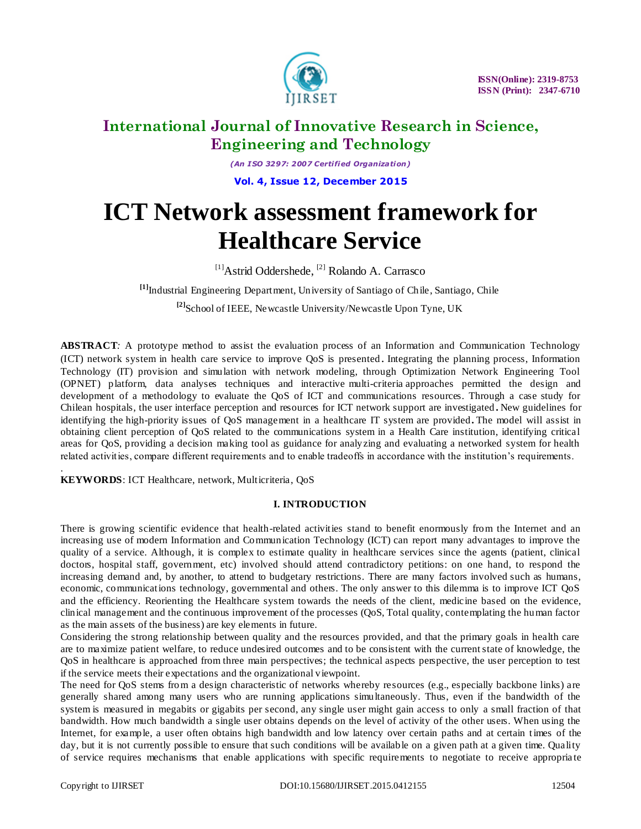

*(An I SO 3297: 2007 Certified Organization)*

**Vol. 4, Issue 12, December 2015**

# **ICT Network assessment framework for Healthcare Service**

[1]Astrid Oddershede, [2] Rolando A. Carrasco

**[1]**Industrial Engineering Department, University of Santiago of Chile, Santiago, Chile **[2]**School of IEEE, Newcastle University/Newcastle Upon Tyne, UK

**ABSTRACT***:* A prototype method to assist the evaluation process of an Information and Communication Technology (ICT) network system in health care service to improve QoS is presented. Integrating the planning process, Information Technology (IT) provision and simulation with network modeling, through Optimization Network Engineering Tool (OPNET) platform, data analyses techniques and interactive multi-criteria approaches permitted the design and development of a methodology to evaluate the QoS of ICT and communications resources. Through a case study for Chilean hospitals, the user interface perception and resources for ICT network support are investigated **.** New guidelines for identifying the high-priority issues of QoS management in a healthcare IT system are provided**.** The model will assist in obtaining client perception of QoS related to the communications system in a Health Care institution, identifying critical areas for QoS, providing a decision making tool as guidance for analyzing and evaluating a networked system for health related activities, compare different requirements and to enable tradeoffs in accordance with the institution's requirements.

**KEYWORDS**: ICT Healthcare, network, Multicriteria, QoS

### **I. INTRODUCTION**

There is growing scientific evidence that health-related activities stand to benefit enormously from the Internet and an increasing use of modern Information and Communication Technology (ICT) can report many advantages to improve the quality of a service. Although, it is complex to estimate quality in healthcare services since the agents (patient, clinical doctors, hospital staff, government, etc) involved should attend contradictory petitions: on one hand, to respond the increasing demand and, by another, to attend to budgetary restrictions. There are many factors involved such as humans, economic, communications technology, governmental and others. The only answer to this dilemma is to improve ICT QoS and the efficiency. Reorienting the Healthcare system towards the needs of the client, medicine based on the evidence, clinical management and the continuous improvement of the processes (QoS, Total quality, contemplating the human factor as the main assets of the business) are key elements in future.

Considering the strong relationship between quality and the resources provided, and that the primary goals in health care are to maximize patient welfare, to reduce undesired outcomes and to be consistent with the current state of knowledge, the QoS in healthcare is approached from three main perspectives; the technical aspects perspective, the user perception to test if the service meets their expectations and the organizational viewpoint.

The need for QoS stems from a design characteristic of networks whereby resources (e.g., especially backbone links) are generally shared among many users who are running applications simultaneously. Thus, even if the bandwidth of the system is measured in megabits or gigabits per second, any single user might gain access to only a small fraction of that bandwidth. How much bandwidth a single user obtains depends on the level of activity of the other users. When using the Internet, for example, a user often obtains high bandwidth and low latency over certain paths and at certain t imes of the day, but it is not currently possible to ensure that such conditions will be available on a given path at a given time. Quality of service requires mechanisms that enable applications with specific requirements to negotiate to receive appropria te

.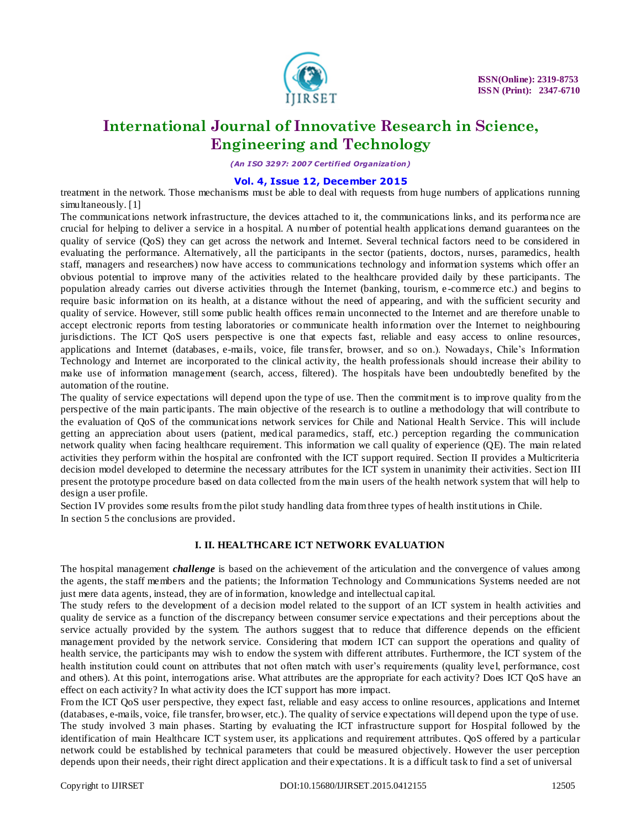

*(An I SO 3297: 2007 Certified Organization)*

### **Vol. 4, Issue 12, December 2015**

treatment in the network. Those mechanisms must be able to deal with requests from huge numbers of applications running simultaneously. [1]

The communications network infrastructure, the devices attached to it, the communications links, and its performa nce are crucial for helping to deliver a service in a hospital. A number of potential health applications demand guarantees on the quality of service (QoS) they can get across the network and Internet. Several technical factors need to be considered in evaluating the performance. Alternatively, all the participants in the sector (patients, doctors, nurses, paramedics, health staff, managers and researchers) now have access to communications technology and information systems which offer an obvious potential to improve many of the activities related to the healthcare provided daily by these participants. The population already carries out diverse activities through the Internet (banking, tourism, e -commerce etc.) and begins to require basic information on its health, at a distance without the need of appearing, and with the sufficient security and quality of service. However, still some public health offices remain unconnected to the Internet and are therefore unable to accept electronic reports from testing laboratories or communicate health information over the Internet to neighbouring jurisdictions. The ICT QoS users perspective is one that expects fast, reliable and easy access to online resources, applications and Internet (databases, e-mails, voice, file transfer, browser, and so on.). Nowadays, Chile's Information Technology and Internet are incorporated to the clinical activity, the health professionals should increase their ability to make use of information management (search, access, filtered). The hospitals have been undoubtedly benefited by the automation of the routine.

The quality of service expectations will depend upon the type of use. Then the commitment is to improve quality from the perspective of the main participants. The main objective of the research is to outline a methodology that will contribute to the evaluation of OoS of the communications network services for Chile and National Health Service. This will include getting an appreciation about users (patient, medical paramedics, staff, etc.) perception regarding the communication network quality when facing healthcare requirement. This information we call quality of experience (QE). The main related activities they perform within the hospital are confronted with the ICT support required. Section II provides a Multicriteria decision model developed to determine the necessary attributes for the ICT system in unanimity their activities. Sect ion III present the prototype procedure based on data collected from the main users of the health network system that will help to design a user profile.

Section IV provides some results from the pilot study handling data from three types of health instit utions in Chile. In section 5 the conclusions are provided.

### **I. II. HEALTHCARE ICT NETWORK EVALUATION**

The hospital management *challenge* is based on the achievement of the articulation and the convergence of values among the agents, the staff members and the patients; the Information Technology and Communications Systems needed are not just mere data agents, instead, they are of information, knowledge and intellectual capital.

The study refers to the development of a decision model related to the support of an ICT system in health activities and quality de service as a function of the discrepancy between consumer service expectations and their perceptions about the service actually provided by the system. The authors suggest that to reduce that difference depends on the efficient management provided by the network service. Considering that modern ICT can support the operations and quality of health service, the participants may wish to endow the system with different attributes. Furthermore, the ICT system of the health institution could count on attributes that not often match with user's requirements (quality level, performance, cost and others). At this point, interrogations arise. What attributes are the appropriate for each activity? Does ICT QoS have an effect on each activity? In what activity does the ICT support has more impact.

From the ICT QoS user perspective, they expect fast, reliable and easy access to online resources, applications and Internet (databases, e-mails, voice, file transfer, browser, etc.). The quality of service expectations will depend upon the type of use. The study involved 3 main phases. Starting by evaluating the ICT infrastructure support for Hospital followed by the identification of main Healthcare ICT system user, its applications and requirement attributes. QoS offered by a particular network could be established by technical parameters that could be measured objectively. However the user perception depends upon their needs, their right direct application and their expectations. It is a difficult task to find a set of universal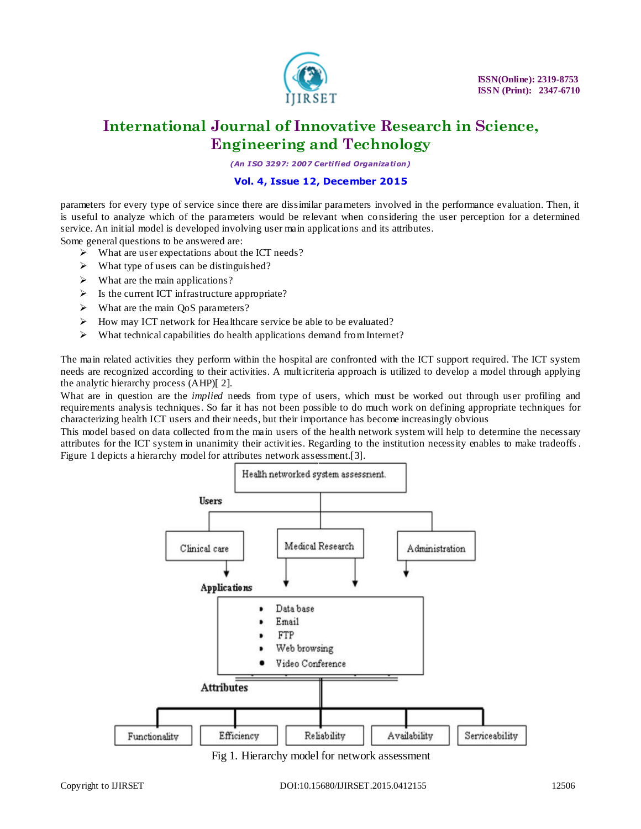

*(An I SO 3297: 2007 Certified Organization)*

## **Vol. 4, Issue 12, December 2015**

parameters for every type of service since there are dissimilar parameters involved in the performance evaluation. Then, it is useful to analyze which of the parameters would be relevant when considering the user perception for a determined service. An initial model is developed involving user main applications and its attributes.

Some general questions to be answered are:

- $\triangleright$  What are user expectations about the ICT needs?
- $\triangleright$  What type of users can be distinguished?
- $\triangleright$  What are the main applications?
- $\triangleright$  Is the current ICT infrastructure appropriate?
- $\triangleright$  What are the main OoS parameters?
- How may ICT network for Healthcare service be able to be evaluated?
- $\triangleright$  What technical capabilities do health applications demand from Internet?

The main related activities they perform within the hospital are confronted with the ICT support required. The ICT system needs are recognized according to their activities. A multicriteria approach is utilized to develop a model through applying the analytic hierarchy process (AHP)[ 2].

What are in question are the *implied* needs from type of users, which must be worked out through user profiling and requirements analysis techniques. So far it has not been possible to do much work on defining appropriate techniques for characterizing health ICT users and their needs, but their importance has become increasingly obvious

This model based on data collected from the main users of the health network system will help to determine the necessary attributes for the ICT system in unanimity their activities. Regarding to the institution necessity enables to make tradeoffs . Figure 1 depicts a hierarchy model for attributes network assessment.[3].



Fig 1. Hierarchy model for network assessment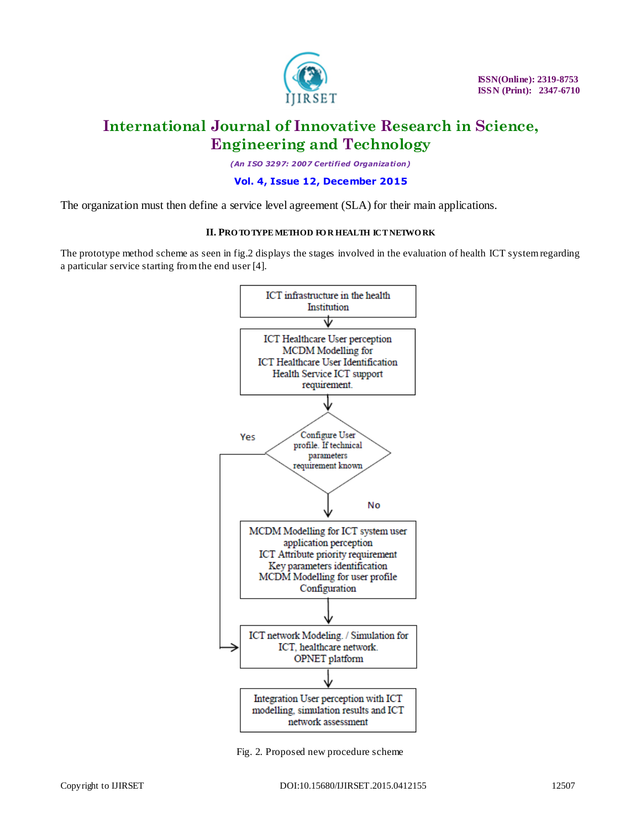

*(An I SO 3297: 2007 Certified Organization)*

### **Vol. 4, Issue 12, December 2015**

The organization must then define a service level agreement (SLA) for their main applications.

#### **II. PRO TO TYPE METHOD FO R HEALTH ICT NETWO RK**

The prototype method scheme as seen in fig.2 displays the stages involved in the evaluation of health ICT system regarding a particular service starting from the end user [4].



Fig. 2. Proposed new procedure scheme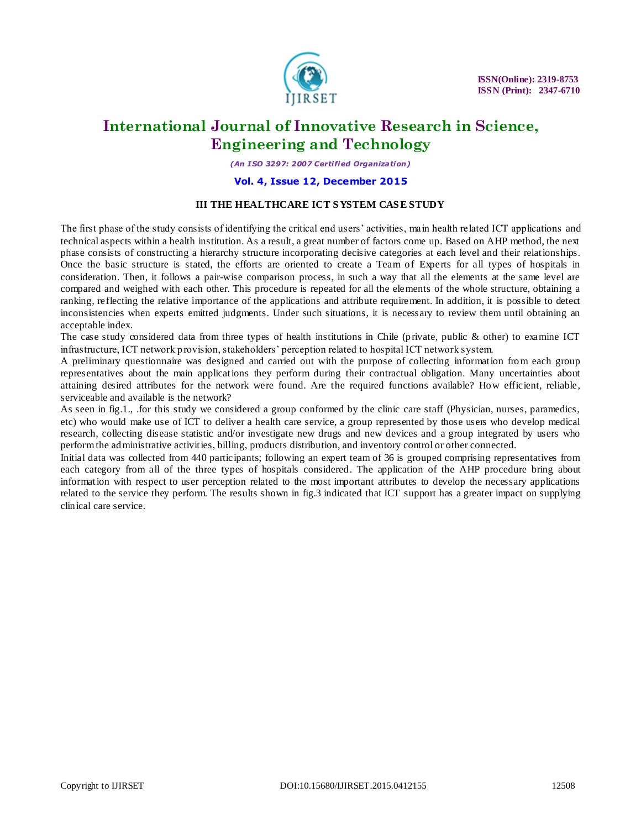

*(An I SO 3297: 2007 Certified Organization)*

### **Vol. 4, Issue 12, December 2015**

### **III THE HEALTHCARE ICT S YSTEM CAS E STUDY**

The first phase of the study consists of identifying the critical end users' activities, main health related ICT applications and technical aspects within a health institution. As a result, a great number of factors come up. Based on AHP method, the next phase consists of constructing a hierarchy structure incorporating decisive categories at each level and their relationships. Once the basic structure is stated, the efforts are oriented to create a Team of Experts for all types of hospitals in consideration. Then, it follows a pair-wise comparison process, in such a way that all the elements at the same level are compared and weighed with each other. This procedure is repeated for all the elements of the whole structure, obtaining a ranking, reflecting the relative importance of the applications and attribute requirement. In addition, it is possible to detect inconsistencies when experts emitted judgments. Under such situations, it is necessary to review them until obtaining an acceptable index.

The case study considered data from three types of health institutions in Chile (private, public & other) to examine ICT infrastructure, ICT network provision, stakeholders' perception related to hospital ICT network system.

A preliminary questionnaire was designed and carried out with the purpose of collecting information from each group representatives about the main applications they perform during their contractual obligation. Many uncertainties about attaining desired attributes for the network were found. Are the required functions available? How efficient, reliable, serviceable and available is the network?

As seen in fig.1., .for this study we considered a group conformed by the clinic care staff (Physician, nurses, paramedics, etc) who would make use of ICT to deliver a health care service, a group represented by those users who develop medical research, collecting disease statistic and/or investigate new drugs and new devices and a group integrated by users who perform the administrative activities, billing, products distribution, and inventory control or other connected.

Initial data was collected from 440 participants; following an expert team of 36 is grouped comprising representatives from each category from all of the three types of hospitals considered. The application of the AHP procedure bring about information with respect to user perception related to the most important attributes to develop the necessary applications related to the service they perform. The results shown in fig.3 indicated that ICT support has a greater impact on supplying clinical care service.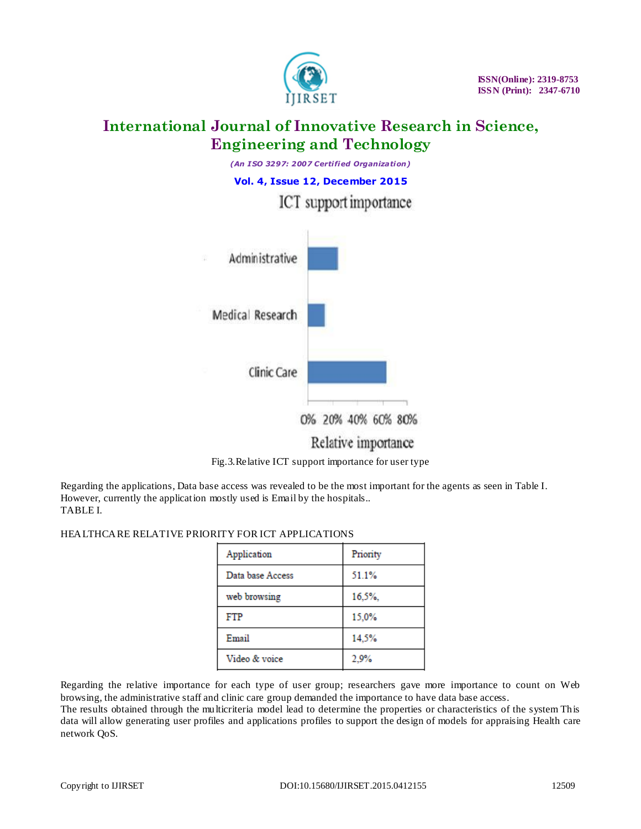





Regarding the applications, Data base access was revealed to be the most important for the agents as seen in Table I. However, currently the application mostly used is Email by the hospitals.. TABLE I.

### HEALTHCARE RELATIVE PRIORITY FOR ICT APPLICATIONS

| Application      | Priority |
|------------------|----------|
| Data base Access | 51.1%    |
| web browsing     | 16,5%    |
| FTP              | 15,0%    |
| Email            | 14,5%    |
| Video & voice    | 2,9%     |

Regarding the relative importance for each type of user group; researchers gave more importance to count on Web browsing, the administrative staff and clinic care group demanded the importance to have data base access.

The results obtained through the multicriteria model lead to determine the properties or characteristics of the system This data will allow generating user profiles and applications profiles to support the design of models for appraising Health care network QoS.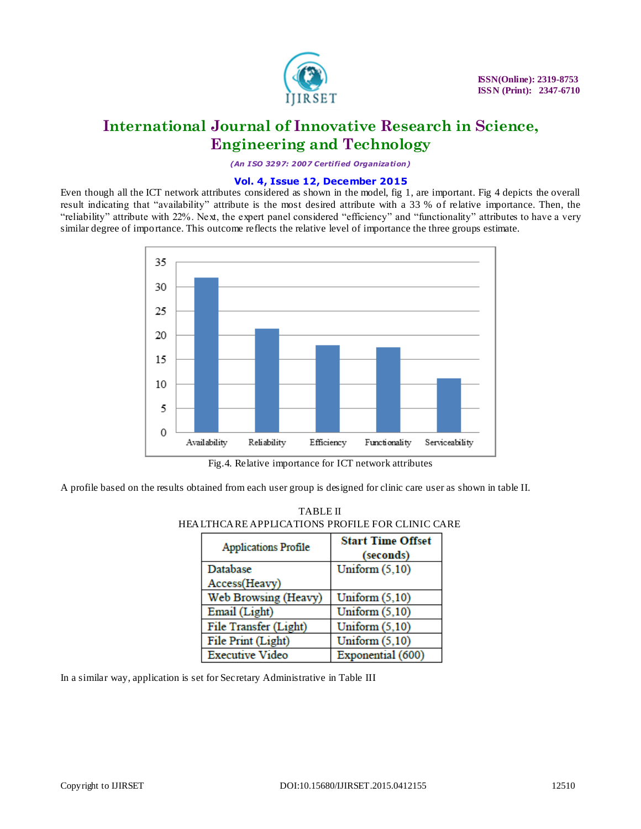

*(An I SO 3297: 2007 Certified Organization)*

### **Vol. 4, Issue 12, December 2015**

Even though all the ICT network attributes considered as shown in the model, fig 1, are important. Fig 4 depicts the overall result indicating that "availability" attribute is the most desired attribute with a 33 % of relative importance. Then, the "reliability" attribute with 22%. Next, the expert panel considered "efficiency" and "functionality" attributes to have a very similar degree of importance. This outcome reflects the relative level of importance the three groups estimate.



Fig.4. Relative importance for ICT network attributes

A profile based on the results obtained from each user group is designed for clinic care user as shown in table II.

| <b>Applications Profile</b> | <b>Start Time Offset</b> |  |
|-----------------------------|--------------------------|--|
|                             | (seconds)                |  |
| Database                    | Uniform $(5,10)$         |  |
| Access(Heavy)               |                          |  |
| Web Browsing (Heavy)        | Uniform $(5,10)$         |  |
| Email (Light)               | Uniform $(5,10)$         |  |
| File Transfer (Light)       | Uniform $(5,10)$         |  |
| File Print (Light)          | Uniform $(5,10)$         |  |
| <b>Executive Video</b>      | Exponential (600)        |  |

| <b>TABLE II</b>                                   |  |  |
|---------------------------------------------------|--|--|
| HEA LTHCA RE APPLICATIONS PROFILE FOR CLINIC CARE |  |  |
|                                                   |  |  |

In a similar way, application is set for Secretary Administrative in Table III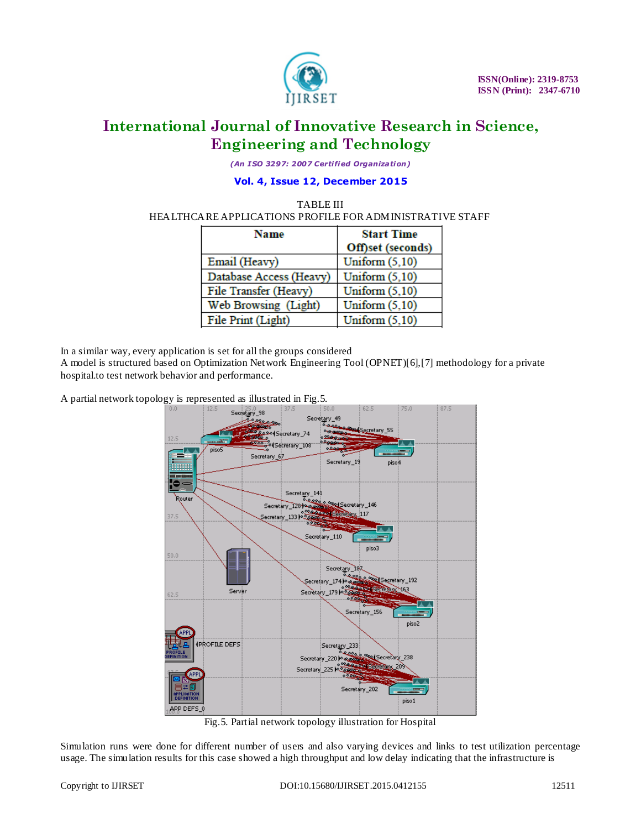

*(An I SO 3297: 2007 Certified Organization)*

# **Vol. 4, Issue 12, December 2015**

### TABLE III HEALTHCARE APPLICATIONS PROFILE FOR ADMINISTRATIVE STAFF

| <b>Name</b>             | <b>Start Time</b> |
|-------------------------|-------------------|
|                         | Off)set (seconds) |
| Email (Heavy)           | Uniform $(5,10)$  |
| Database Access (Heavy) | Uniform $(5,10)$  |
| File Transfer (Heavy)   | Uniform $(5,10)$  |
| Web Browsing (Light)    | Uniform $(5,10)$  |
| File Print (Light)      | Uniform $(5,10)$  |

In a similar way, every application is set for all the groups considered

A model is structured based on Optimization Network Engineering Tool (OPNET)[6],[7] methodology for a private hospital.to test network behavior and performance.

A partial network topology is represented as illustrated in Fig.5.



Fig.5. Partial network topology illustration for Hospital

Simulation runs were done for different number of users and also varying devices and links to test utilization percentage usage. The simulation results for this case showed a high throughput and low delay indicating that the infrastructure is